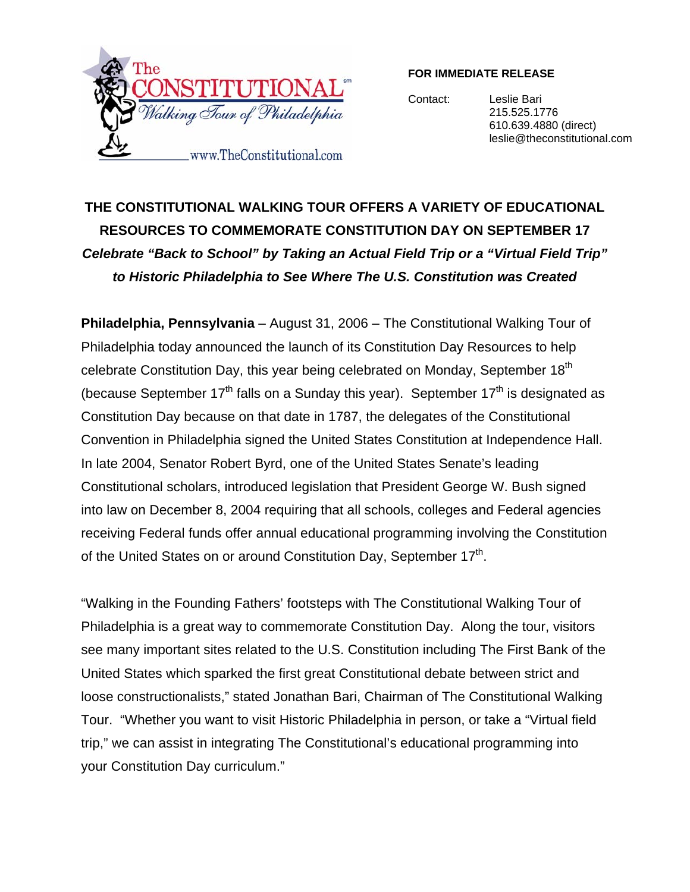

### **FOR IMMEDIATE RELEASE**

Contact: Leslie Bari 215.525.1776 610.639.4880 (direct) leslie@theconstitutional.com

# **THE CONSTITUTIONAL WALKING TOUR OFFERS A VARIETY OF EDUCATIONAL RESOURCES TO COMMEMORATE CONSTITUTION DAY ON SEPTEMBER 17**  *Celebrate "Back to School" by Taking an Actual Field Trip or a "Virtual Field Trip" to Historic Philadelphia to See Where The U.S. Constitution was Created*

**Philadelphia, Pennsylvania** – August 31, 2006 – The Constitutional Walking Tour of Philadelphia today announced the launch of its Constitution Day Resources to help celebrate Constitution Day, this year being celebrated on Monday, September 18<sup>th</sup> (because September  $17<sup>th</sup>$  falls on a Sunday this year). September  $17<sup>th</sup>$  is designated as Constitution Day because on that date in 1787, the delegates of the Constitutional Convention in Philadelphia signed the United States Constitution at Independence Hall. In late 2004, Senator Robert Byrd, one of the United States Senate's leading Constitutional scholars, introduced legislation that President George W. Bush signed into law on December 8, 2004 requiring that all schools, colleges and Federal agencies receiving Federal funds offer annual educational programming involving the Constitution of the United States on or around Constitution Day, September 17<sup>th</sup>.

"Walking in the Founding Fathers' footsteps with The Constitutional Walking Tour of Philadelphia is a great way to commemorate Constitution Day. Along the tour, visitors see many important sites related to the U.S. Constitution including The First Bank of the United States which sparked the first great Constitutional debate between strict and loose constructionalists," stated Jonathan Bari, Chairman of The Constitutional Walking Tour. "Whether you want to visit Historic Philadelphia in person, or take a "Virtual field trip," we can assist in integrating The Constitutional's educational programming into your Constitution Day curriculum."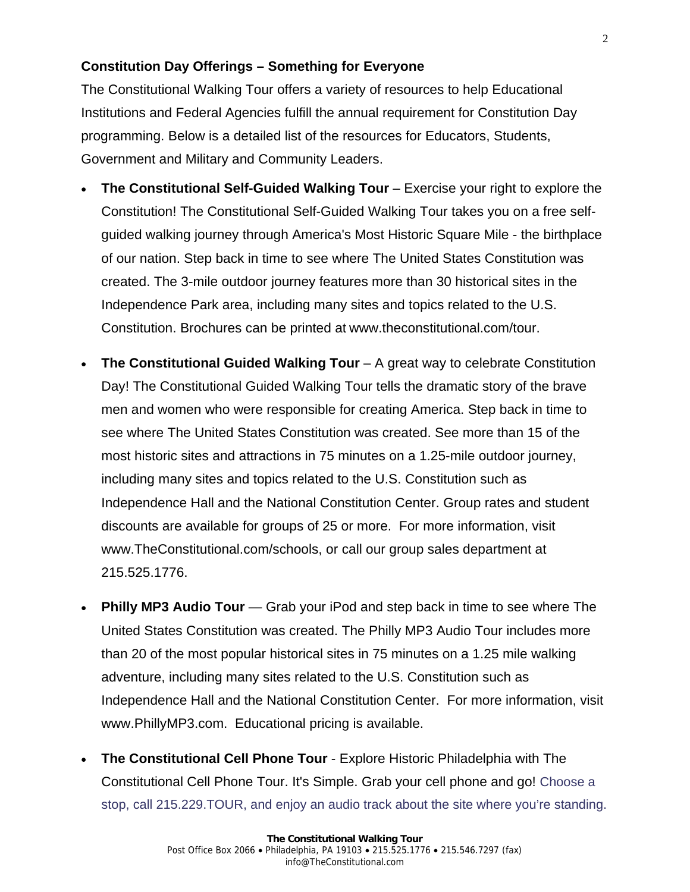## **Constitution Day Offerings – Something for Everyone**

The Constitutional Walking Tour offers a variety of resources to help Educational Institutions and Federal Agencies fulfill the annual requirement for Constitution Day programming. Below is a detailed list of the resources for Educators, Students, Government and Military and Community Leaders.

- **The Constitutional Self-Guided Walking Tour** Exercise your right to explore the Constitution! The Constitutional Self-Guided Walking Tour takes you on a free selfguided walking journey through America's Most Historic Square Mile - the birthplace of our nation. Step back in time to see where The United States Constitution was created. The 3-mile outdoor journey features more than 30 historical sites in the Independence Park area, including many sites and topics related to the U.S. Constitution. Brochures can be printed at www.theconstitutional.com/tour.
- **The Constitutional Guided Walking Tour** A great way to celebrate Constitution Day! The Constitutional Guided Walking Tour tells the dramatic story of the brave men and women who were responsible for creating America. Step back in time to see where The United States Constitution was created. See more than 15 of the most historic sites and attractions in 75 minutes on a 1.25-mile outdoor journey, including many sites and topics related to the U.S. Constitution such as Independence Hall and the National Constitution Center. Group rates and student discounts are available for groups of 25 or more. For more information, visit www.TheConstitutional.com/schools, or call our group sales department at 215.525.1776.
- **Philly MP3 Audio Tour** Grab your iPod and step back in time to see where The United States Constitution was created. The Philly MP3 Audio Tour includes more than 20 of the most popular historical sites in 75 minutes on a 1.25 mile walking adventure, including many sites related to the U.S. Constitution such as Independence Hall and the National Constitution Center. For more information, visit www.PhillyMP3.com. Educational pricing is available.
- **The Constitutional Cell Phone Tour** Explore Historic Philadelphia with The Constitutional Cell Phone Tour. It's Simple. Grab your cell phone and go! Choose a stop, call 215.229.TOUR, and enjoy an audio track about the site where you're standing.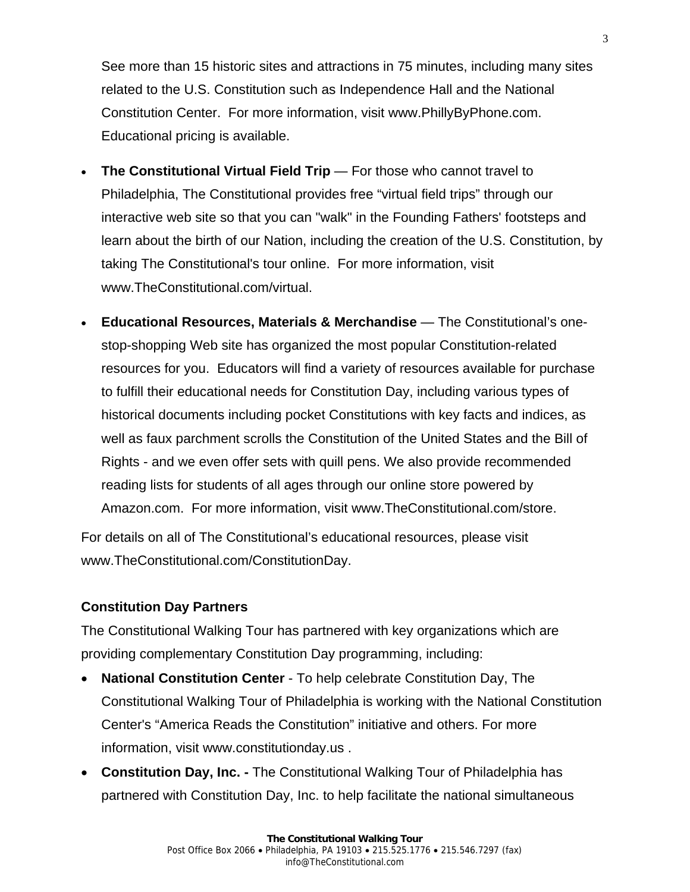See more than 15 historic sites and attractions in 75 minutes, including many sites related to the U.S. Constitution such as Independence Hall and the National Constitution Center. For more information, visit www.PhillyByPhone.com. Educational pricing is available.

- **The Constitutional Virtual Field Trip** For those who cannot travel to Philadelphia, The Constitutional provides free "virtual field trips" through our interactive web site so that you can "walk" in the Founding Fathers' footsteps and learn about the birth of our Nation, including the creation of the U.S. Constitution, by taking The Constitutional's tour online. For more information, visit www.TheConstitutional.com/virtual.
- **Educational Resources, Materials & Merchandise** The Constitutional's onestop-shopping Web site has organized the most popular Constitution-related resources for you. Educators will find a variety of resources available for purchase to fulfill their educational needs for Constitution Day, including various types of historical documents including pocket Constitutions with key facts and indices, as well as faux parchment scrolls the Constitution of the United States and the Bill of Rights - and we even offer sets with quill pens. We also provide recommended reading lists for students of all ages through our online store powered by Amazon.com. For more information, visit www.TheConstitutional.com/store.

For details on all of The Constitutional's educational resources, please visit www.TheConstitutional.com/ConstitutionDay.

## **Constitution Day Partners**

The Constitutional Walking Tour has partnered with key organizations which are providing complementary Constitution Day programming, including:

- **National Constitution Center** To help celebrate Constitution Day, The Constitutional Walking Tour of Philadelphia is working with the National Constitution Center's "America Reads the Constitution" initiative and others. For more information, visit www.constitutionday.us .
- **Constitution Day, Inc.** The Constitutional Walking Tour of Philadelphia has partnered with Constitution Day, Inc. to help facilitate the national simultaneous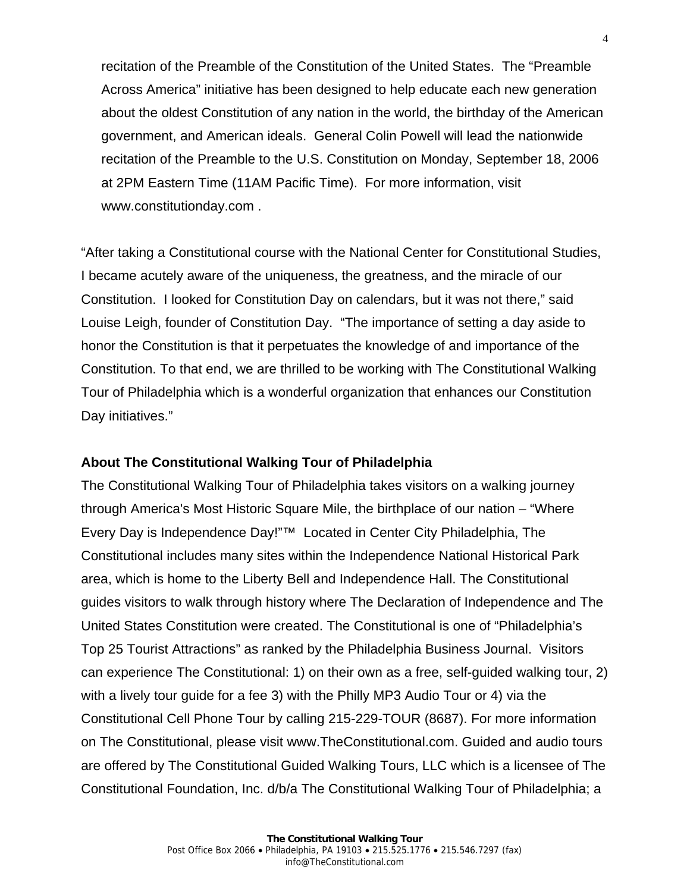recitation of the Preamble of the Constitution of the United States. The "Preamble Across America" initiative has been designed to help educate each new generation about the oldest Constitution of any nation in the world, the birthday of the American government, and American ideals. General Colin Powell will lead the nationwide recitation of the Preamble to the U.S. Constitution on Monday, September 18, 2006 at 2PM Eastern Time (11AM Pacific Time). For more information, visit www.constitutionday.com .

"After taking a Constitutional course with the National Center for Constitutional Studies, I became acutely aware of the uniqueness, the greatness, and the miracle of our Constitution. I looked for Constitution Day on calendars, but it was not there," said Louise Leigh, founder of Constitution Day. "The importance of setting a day aside to honor the Constitution is that it perpetuates the knowledge of and importance of the Constitution. To that end, we are thrilled to be working with The Constitutional Walking Tour of Philadelphia which is a wonderful organization that enhances our Constitution Day initiatives."

### **About The Constitutional Walking Tour of Philadelphia**

The Constitutional Walking Tour of Philadelphia takes visitors on a walking journey through America's Most Historic Square Mile, the birthplace of our nation – "Where Every Day is Independence Day!"™ Located in Center City Philadelphia, The Constitutional includes many sites within the Independence National Historical Park area, which is home to the Liberty Bell and Independence Hall. The Constitutional guides visitors to walk through history where The Declaration of Independence and The United States Constitution were created. The Constitutional is one of "Philadelphia's Top 25 Tourist Attractions" as ranked by the Philadelphia Business Journal. Visitors can experience The Constitutional: 1) on their own as a free, self-guided walking tour, 2) with a lively tour guide for a fee 3) with the Philly MP3 Audio Tour or 4) via the Constitutional Cell Phone Tour by calling 215-229-TOUR (8687). For more information on The Constitutional, please visit www.TheConstitutional.com. Guided and audio tours are offered by The Constitutional Guided Walking Tours, LLC which is a licensee of The Constitutional Foundation, Inc. d/b/a The Constitutional Walking Tour of Philadelphia; a